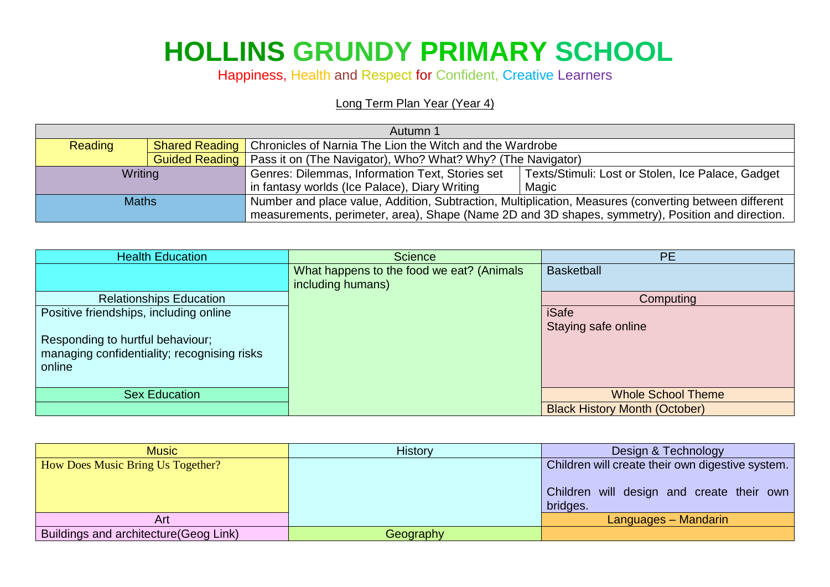## **HOLLINS GRUNDY PRIMARY SCHOOL**

Happiness, Health and Respect for Confident, Creative Learners

## Long Term Plan Year (Year 4)

| Autumn 1                                                                                         |                       |                                                                                                       |                                                   |
|--------------------------------------------------------------------------------------------------|-----------------------|-------------------------------------------------------------------------------------------------------|---------------------------------------------------|
| Reading                                                                                          |                       | <b>Shared Reading   Chronicles of Narnia The Lion the Witch and the Wardrobe</b>                      |                                                   |
|                                                                                                  | <b>Guided Reading</b> | Pass it on (The Navigator), Who? What? Why? (The Navigator)                                           |                                                   |
| Writing                                                                                          |                       | Genres: Dilemmas, Information Text, Stories set                                                       | Texts/Stimuli: Lost or Stolen, Ice Palace, Gadget |
|                                                                                                  |                       | in fantasy worlds (Ice Palace), Diary Writing<br>Magic                                                |                                                   |
| <b>Maths</b>                                                                                     |                       | Number and place value, Addition, Subtraction, Multiplication, Measures (converting between different |                                                   |
| measurements, perimeter, area), Shape (Name 2D and 3D shapes, symmetry), Position and direction. |                       |                                                                                                       |                                                   |

| <b>Health Education</b>                     | <b>Science</b>                            | <b>PE</b>                            |
|---------------------------------------------|-------------------------------------------|--------------------------------------|
|                                             | What happens to the food we eat? (Animals | <b>Basketball</b>                    |
|                                             | including humans)                         |                                      |
| <b>Relationships Education</b>              |                                           | Computing                            |
| Positive friendships, including online      |                                           | <b>iSafe</b>                         |
|                                             |                                           | Staying safe online                  |
| Responding to hurtful behaviour;            |                                           |                                      |
| managing confidentiality; recognising risks |                                           |                                      |
| online                                      |                                           |                                      |
|                                             |                                           |                                      |
| <b>Sex Education</b>                        |                                           | <b>Whole School Theme</b>            |
|                                             |                                           | <b>Black History Month (October)</b> |

| <b>Music</b>                                  | <b>History</b> | Design & Technology                                                                                       |
|-----------------------------------------------|----------------|-----------------------------------------------------------------------------------------------------------|
| <b>How Does Music Bring Us Together?</b>      |                | Children will create their own digestive system.<br>Children will design and create their own<br>bridges. |
| Art                                           |                | Languages - Mandarin                                                                                      |
| <b>Buildings and architecture (Geog Link)</b> | Geography      |                                                                                                           |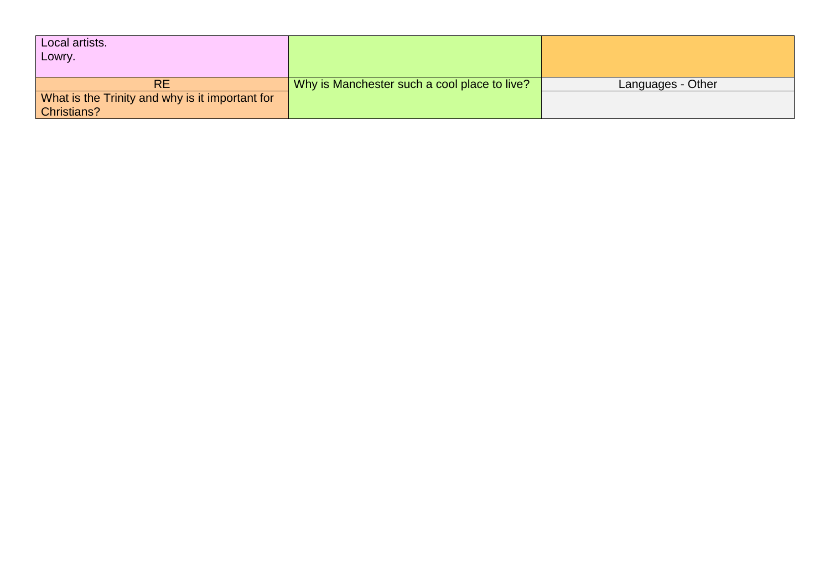| Local artists.<br>Lowry.                        |                                              |                          |
|-------------------------------------------------|----------------------------------------------|--------------------------|
| <b>RE</b>                                       | Why is Manchester such a cool place to live? | <b>Languages - Other</b> |
| What is the Trinity and why is it important for |                                              |                          |
| <b>Christians?</b>                              |                                              |                          |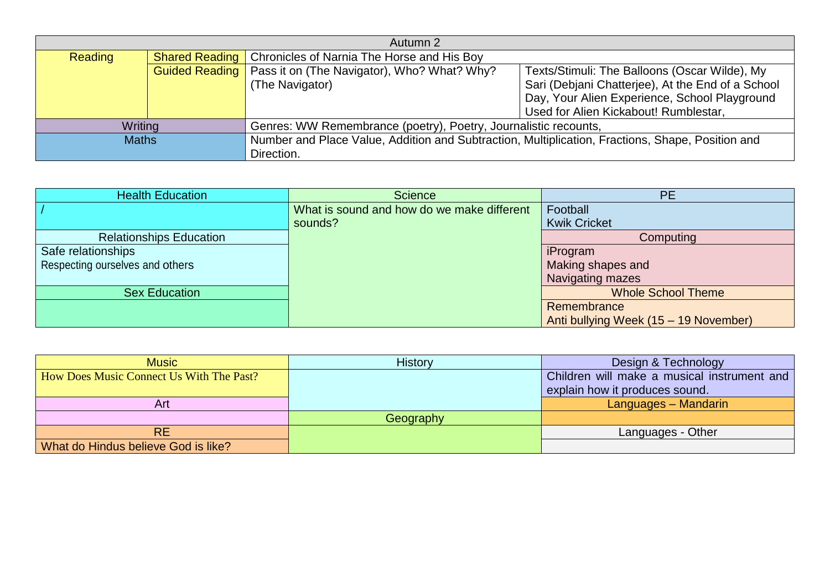| Autumn 2       |                       |                                                                                                  |                                                   |
|----------------|-----------------------|--------------------------------------------------------------------------------------------------|---------------------------------------------------|
| <b>Reading</b> | <b>Shared Reading</b> | Chronicles of Narnia The Horse and His Boy                                                       |                                                   |
|                |                       | <b>Guided Reading</b>   Pass it on (The Navigator), Who? What? Why?                              | Texts/Stimuli: The Balloons (Oscar Wilde), My     |
|                |                       | (The Navigator)                                                                                  | Sari (Debjani Chatterjee), At the End of a School |
|                |                       |                                                                                                  | Day, Your Alien Experience, School Playground     |
|                |                       |                                                                                                  | Used for Alien Kickabout! Rumblestar,             |
| Writing        |                       | Genres: WW Remembrance (poetry), Poetry, Journalistic recounts,                                  |                                                   |
| <b>Maths</b>   |                       | Number and Place Value, Addition and Subtraction, Multiplication, Fractions, Shape, Position and |                                                   |
|                |                       | Direction.                                                                                       |                                                   |

| <b>Health Education</b>         | <b>Science</b>                             | <b>PE</b>                             |
|---------------------------------|--------------------------------------------|---------------------------------------|
|                                 | What is sound and how do we make different | Football                              |
|                                 | sounds?                                    | <b>Kwik Cricket</b>                   |
| <b>Relationships Education</b>  |                                            | Computing                             |
| Safe relationships              |                                            | iProgram                              |
| Respecting ourselves and others |                                            | Making shapes and                     |
|                                 |                                            | Navigating mazes                      |
| <b>Sex Education</b>            |                                            | <b>Whole School Theme</b>             |
|                                 |                                            | Remembrance                           |
|                                 |                                            | Anti bullying Week (15 - 19 November) |

| <b>Music</b>                                    | <b>History</b> | Design & Technology                         |
|-------------------------------------------------|----------------|---------------------------------------------|
| <b>How Does Music Connect Us With The Past?</b> |                | Children will make a musical instrument and |
|                                                 |                | explain how it produces sound.              |
| Art                                             |                | Languages - Mandarin                        |
|                                                 | Geography      |                                             |
| <b>RE</b>                                       |                | Languages - Other                           |
| What do Hindus believe God is like?             |                |                                             |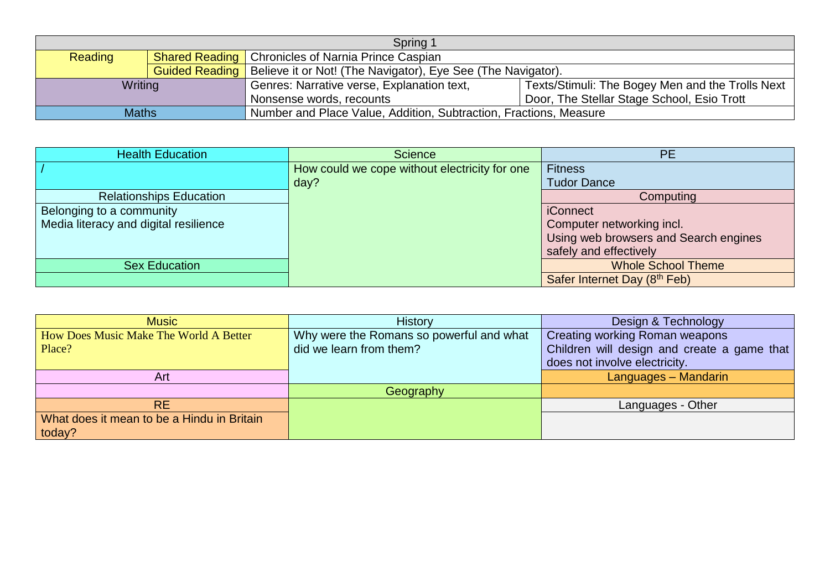| Spring 1       |                       |                                                                        |                                                  |  |
|----------------|-----------------------|------------------------------------------------------------------------|--------------------------------------------------|--|
| <b>Reading</b> |                       | <b>Shared Reading   Chronicles of Narnia Prince Caspian</b>            |                                                  |  |
|                | <b>Guided Reading</b> | Believe it or Not! (The Navigator), Eye See (The Navigator).           |                                                  |  |
| Writing        |                       | Genres: Narrative verse, Explanation text,                             | Texts/Stimuli: The Bogey Men and the Trolls Next |  |
|                |                       | Door, The Stellar Stage School, Esio Trott<br>Nonsense words, recounts |                                                  |  |
| <b>Maths</b>   |                       | Number and Place Value, Addition, Subtraction, Fractions, Measure      |                                                  |  |

| <b>Health Education</b>               | <b>Science</b>                                | <b>PE</b>                             |
|---------------------------------------|-----------------------------------------------|---------------------------------------|
|                                       | How could we cope without electricity for one | <b>Fitness</b>                        |
|                                       | day?                                          | <b>Tudor Dance</b>                    |
| <b>Relationships Education</b>        |                                               | Computing                             |
| Belonging to a community              |                                               | <b>iConnect</b>                       |
| Media literacy and digital resilience |                                               | Computer networking incl.             |
|                                       |                                               | Using web browsers and Search engines |
|                                       |                                               | safely and effectively                |
| <b>Sex Education</b>                  |                                               | <b>Whole School Theme</b>             |
|                                       |                                               | Safer Internet Day (8th Feb)          |

| <b>Music</b>                               | <b>History</b>                           | Design & Technology                         |
|--------------------------------------------|------------------------------------------|---------------------------------------------|
| How Does Music Make The World A Better     | Why were the Romans so powerful and what | <b>Creating working Roman weapons</b>       |
| Place?                                     | did we learn from them?                  | Children will design and create a game that |
|                                            |                                          | does not involve electricity.               |
| Art                                        |                                          | Languages - Mandarin                        |
|                                            | Geography                                |                                             |
| <b>RE</b>                                  |                                          | Languages - Other                           |
| What does it mean to be a Hindu in Britain |                                          |                                             |
| today?                                     |                                          |                                             |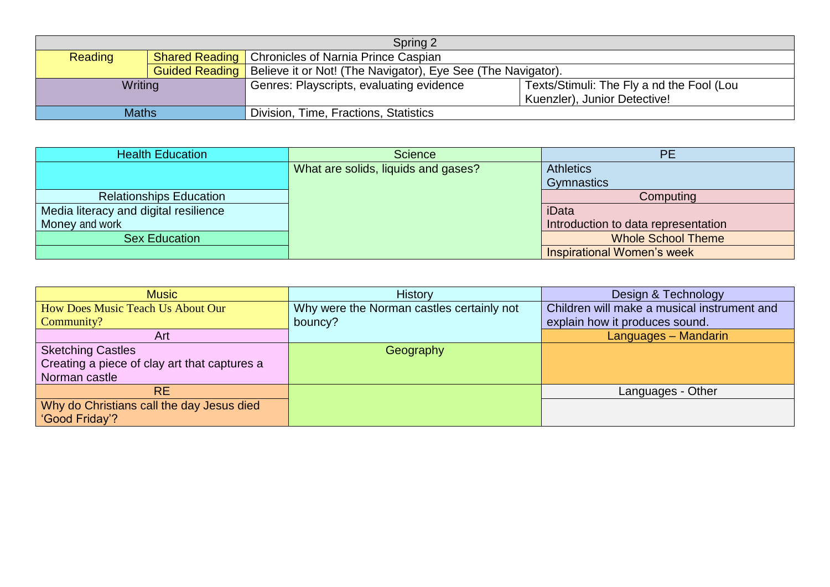| Spring 2       |  |                                                                                      |                                           |  |
|----------------|--|--------------------------------------------------------------------------------------|-------------------------------------------|--|
| <b>Reading</b> |  | <b>Shared Reading   Chronicles of Narnia Prince Caspian</b>                          |                                           |  |
|                |  | <b>Guided Reading</b>   Believe it or Not! (The Navigator), Eye See (The Navigator). |                                           |  |
| Writing        |  | Genres: Playscripts, evaluating evidence                                             | Texts/Stimuli: The Fly a nd the Fool (Lou |  |
|                |  |                                                                                      | Kuenzler), Junior Detective!              |  |
| <b>Maths</b>   |  | Division, Time, Fractions, Statistics                                                |                                           |  |

| <b>Health Education</b>               | <b>Science</b>                      | <b>PE</b>                           |
|---------------------------------------|-------------------------------------|-------------------------------------|
|                                       | What are solids, liquids and gases? | <b>Athletics</b>                    |
|                                       |                                     | Gymnastics                          |
| <b>Relationships Education</b>        |                                     | Computing                           |
| Media literacy and digital resilience |                                     | iData                               |
| Money and work                        |                                     | Introduction to data representation |
| <b>Sex Education</b>                  |                                     | <b>Whole School Theme</b>           |
|                                       |                                     | Inspirational Women's week          |

| <b>Music</b>                                 | <b>History</b>                            | Design & Technology                         |
|----------------------------------------------|-------------------------------------------|---------------------------------------------|
| How Does Music Teach Us About Our            | Why were the Norman castles certainly not | Children will make a musical instrument and |
| Community?                                   | bouncy?                                   | explain how it produces sound.              |
| Art                                          |                                           | Languages - Mandarin                        |
| <b>Sketching Castles</b>                     | Geography                                 |                                             |
| Creating a piece of clay art that captures a |                                           |                                             |
| Norman castle                                |                                           |                                             |
| <b>RE</b>                                    |                                           | Languages - Other                           |
| Why do Christians call the day Jesus died    |                                           |                                             |
| 'Good Friday'?                               |                                           |                                             |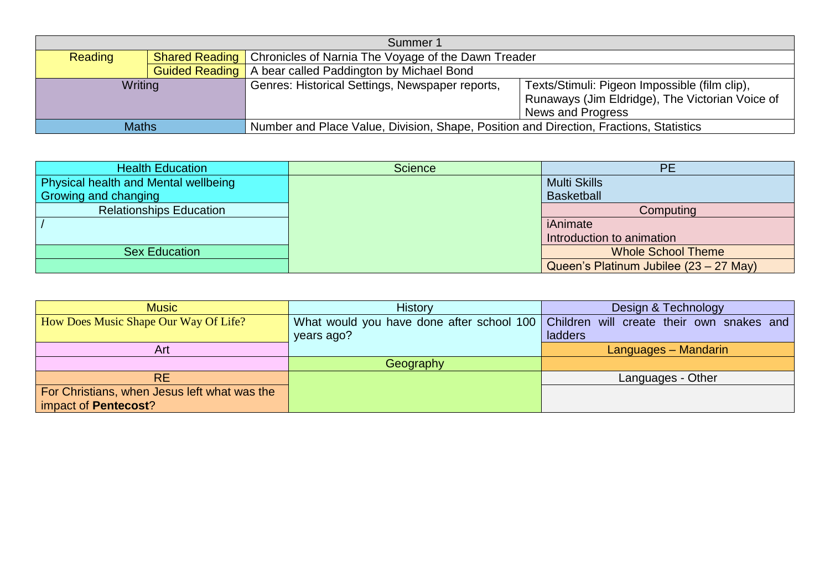| Summer 1     |  |                                                                                        |                                                 |
|--------------|--|----------------------------------------------------------------------------------------|-------------------------------------------------|
| Reading      |  | <b>Shared Reading   Chronicles of Narnia The Voyage of the Dawn Treader</b>            |                                                 |
|              |  | <b>Guided Reading</b>   A bear called Paddington by Michael Bond                       |                                                 |
| Writing      |  | Genres: Historical Settings, Newspaper reports,                                        | Texts/Stimuli: Pigeon Impossible (film clip),   |
|              |  |                                                                                        | Runaways (Jim Eldridge), The Victorian Voice of |
|              |  |                                                                                        | News and Progress                               |
| <b>Maths</b> |  | Number and Place Value, Division, Shape, Position and Direction, Fractions, Statistics |                                                 |

| <b>Health Education</b>                     | <b>Science</b> | <b>PE</b>                              |
|---------------------------------------------|----------------|----------------------------------------|
| <b>Physical health and Mental wellbeing</b> |                | <b>Multi Skills</b>                    |
| Growing and changing                        |                | <b>Basketball</b>                      |
| <b>Relationships Education</b>              |                | Computing                              |
|                                             |                | iAnimate                               |
|                                             |                | Introduction to animation              |
| <b>Sex Education</b>                        |                | <b>Whole School Theme</b>              |
|                                             |                | Queen's Platinum Jubilee (23 – 27 May) |

| <b>Music</b>                                 | <b>History</b> | Design & Technology                                                                   |
|----------------------------------------------|----------------|---------------------------------------------------------------------------------------|
| How Does Music Shape Our Way Of Life?        |                | What would you have done after school 100   Children will create their own snakes and |
|                                              | years ago?     | ladders                                                                               |
| Art                                          |                | Languages - Mandarin                                                                  |
|                                              | Geography      |                                                                                       |
| RE.                                          |                | Languages - Other                                                                     |
| For Christians, when Jesus left what was the |                |                                                                                       |
| impact of Pentecost?                         |                |                                                                                       |